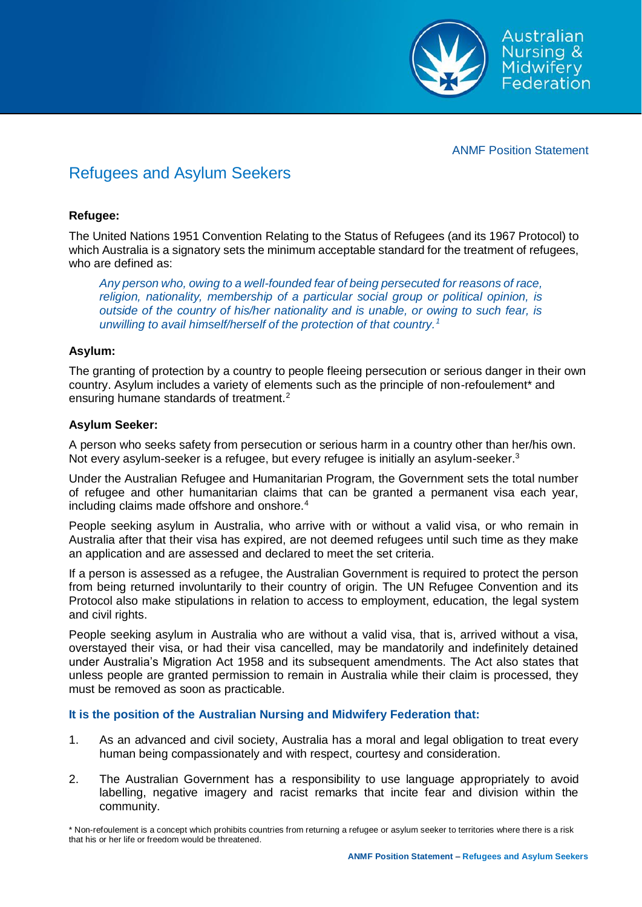

ANMF Position Statement

# Refugees and Asylum Seekers

### **Refugee:**

The United Nations 1951 Convention Relating to the Status of Refugees (and its 1967 Protocol) to which Australia is a signatory sets the minimum acceptable standard for the treatment of refugees, who are defined as:

*Any person who, owing to a well-founded fear of being persecuted for reasons of race, religion, nationality, membership of a particular social group or political opinion, is outside of the country of his/her nationality and is unable, or owing to such fear, is unwilling to avail himself/herself of the protection of that country.<sup>1</sup>*

### **Asylum:**

The granting of protection by a country to people fleeing persecution or serious danger in their own country. Asylum includes a variety of elements such as the principle of non-refoulement\* and ensuring humane standards of treatment.<sup>2</sup>

### **Asylum Seeker:**

A person who seeks safety from persecution or serious harm in a country other than her/his own. Not every asylum-seeker is a refugee, but every refugee is initially an asylum-seeker.<sup>3</sup>

Under the Australian Refugee and Humanitarian Program, the Government sets the total number of refugee and other humanitarian claims that can be granted a permanent visa each year, including claims made offshore and onshore.<sup>4</sup>

People seeking asylum in Australia, who arrive with or without a valid visa, or who remain in Australia after that their visa has expired, are not deemed refugees until such time as they make an application and are assessed and declared to meet the set criteria.

If a person is assessed as a refugee, the Australian Government is required to protect the person from being returned involuntarily to their country of origin. The UN Refugee Convention and its Protocol also make stipulations in relation to access to employment, education, the legal system and civil rights.

People seeking asylum in Australia who are without a valid visa, that is, arrived without a visa, overstayed their visa, or had their visa cancelled, may be mandatorily and indefinitely detained under Australia's Migration Act 1958 and its subsequent amendments. The Act also states that unless people are granted permission to remain in Australia while their claim is processed, they must be removed as soon as practicable.

## **It is the position of the Australian Nursing and Midwifery Federation that:**

- 1. As an advanced and civil society, Australia has a moral and legal obligation to treat every human being compassionately and with respect, courtesy and consideration.
- 2. The Australian Government has a responsibility to use language appropriately to avoid labelling, negative imagery and racist remarks that incite fear and division within the community.

\* Non-refoulement is a concept which prohibits countries from returning a refugee or asylum seeker to territories where there is a risk that his or her life or freedom would be threatened.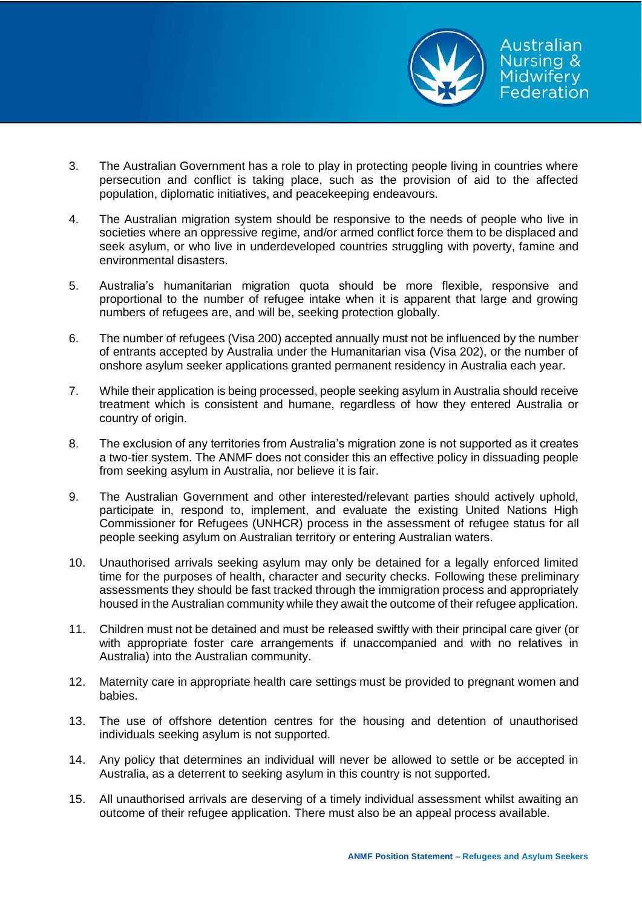

- 3. The Australian Government has a role to play in protecting people living in countries where persecution and conflict is taking place, such as the provision of aid to the affected population, diplomatic initiatives, and peacekeeping endeavours.
- 4. The Australian migration system should be responsive to the needs of people who live in societies where an oppressive regime, and/or armed conflict force them to be displaced and seek asylum, or who live in underdeveloped countries struggling with poverty, famine and environmental disasters.
- 5. Australia's humanitarian migration quota should be more flexible, responsive and proportional to the number of refugee intake when it is apparent that large and growing numbers of refugees are, and will be, seeking protection globally.
- 6. The number of refugees (Visa 200) accepted annually must not be influenced by the number of entrants accepted by Australia under the Humanitarian visa (Visa 202), or the number of onshore asylum seeker applications granted permanent residency in Australia each year.
- 7. While their application is being processed, people seeking asylum in Australia should receive treatment which is consistent and humane, regardless of how they entered Australia or country of origin.
- 8. The exclusion of any territories from Australia's migration zone is not supported as it creates a two-tier system. The ANMF does not consider this an effective policy in dissuading people from seeking asylum in Australia, nor believe it is fair.
- 9. The Australian Government and other interested/relevant parties should actively uphold, participate in, respond to, implement, and evaluate the existing United Nations High Commissioner for Refugees (UNHCR) process in the assessment of refugee status for all people seeking asylum on Australian territory or entering Australian waters.
- 10. Unauthorised arrivals seeking asylum may only be detained for a legally enforced limited time for the purposes of health, character and security checks. Following these preliminary assessments they should be fast tracked through the immigration process and appropriately housed in the Australian community while they await the outcome of their refugee application.
- 11. Children must not be detained and must be released swiftly with their principal care giver (or with appropriate foster care arrangements if unaccompanied and with no relatives in Australia) into the Australian community.
- 12. Maternity care in appropriate health care settings must be provided to pregnant women and babies.
- 13. The use of offshore detention centres for the housing and detention of unauthorised individuals seeking asylum is not supported.
- 14. Any policy that determines an individual will never be allowed to settle or be accepted in Australia, as a deterrent to seeking asylum in this country is not supported.
- 15. All unauthorised arrivals are deserving of a timely individual assessment whilst awaiting an outcome of their refugee application. There must also be an appeal process available.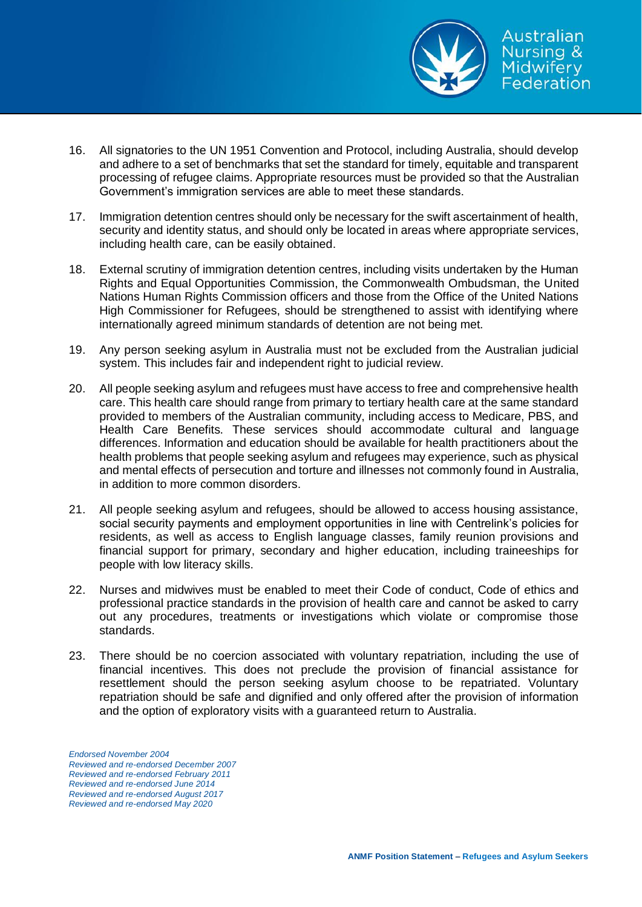

- 16. All signatories to the UN 1951 Convention and Protocol, including Australia, should develop and adhere to a set of benchmarks that set the standard for timely, equitable and transparent processing of refugee claims. Appropriate resources must be provided so that the Australian Government's immigration services are able to meet these standards.
- 17. Immigration detention centres should only be necessary for the swift ascertainment of health, security and identity status, and should only be located in areas where appropriate services, including health care, can be easily obtained.
- 18. External scrutiny of immigration detention centres, including visits undertaken by the Human Rights and Equal Opportunities Commission, the Commonwealth Ombudsman, the United Nations Human Rights Commission officers and those from the Office of the United Nations High Commissioner for Refugees, should be strengthened to assist with identifying where internationally agreed minimum standards of detention are not being met.
- 19. Any person seeking asylum in Australia must not be excluded from the Australian judicial system. This includes fair and independent right to judicial review.
- 20. All people seeking asylum and refugees must have access to free and comprehensive health care. This health care should range from primary to tertiary health care at the same standard provided to members of the Australian community, including access to Medicare, PBS, and Health Care Benefits. These services should accommodate cultural and language differences. Information and education should be available for health practitioners about the health problems that people seeking asylum and refugees may experience, such as physical and mental effects of persecution and torture and illnesses not commonly found in Australia, in addition to more common disorders.
- 21. All people seeking asylum and refugees, should be allowed to access housing assistance, social security payments and employment opportunities in line with Centrelink's policies for residents, as well as access to English language classes, family reunion provisions and financial support for primary, secondary and higher education, including traineeships for people with low literacy skills.
- 22. Nurses and midwives must be enabled to meet their Code of conduct, Code of ethics and professional practice standards in the provision of health care and cannot be asked to carry out any procedures, treatments or investigations which violate or compromise those standards.
- 23. There should be no coercion associated with voluntary repatriation, including the use of financial incentives. This does not preclude the provision of financial assistance for resettlement should the person seeking asylum choose to be repatriated. Voluntary repatriation should be safe and dignified and only offered after the provision of information and the option of exploratory visits with a guaranteed return to Australia.

*Endorsed November 2004 Reviewed and re-endorsed December 2007 Reviewed and re-endorsed February 2011 Reviewed and re-endorsed June 2014 Reviewed and re-endorsed August 2017 Reviewed and re-endorsed May 2020*